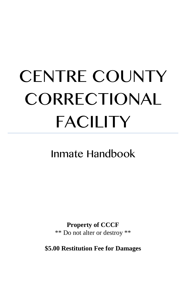# CENTRE COUNTY CORRECTIONAL FACILITY

Inmate Handbook

**Property of CCCF** \*\* Do not alter or destroy \*\*

<span id="page-0-0"></span>**\$5.00 Restitution Fee for Damages**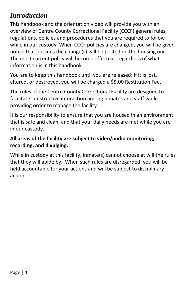# *Introduction*

This handbook and the orientation video will provide you with an overview of Centre County Correctional Facility (CCCF) general rules, regulations, policies and procedures that you are required to follow while in our custody. When CCCF policies are changed, you will be given notice that outlines the change(s) will be posted on the housing unit. The most current policy will become effective, regardless of what information is in this handbook.

You are to keep this handbook until you are released; if it is lost, altered, or destroyed, you will be charged a \$5.00 Restitution Fee.

The rules of the Centre County Correctional Facility are designed to facilitate constructive interaction among inmates and staff while providing order to manage the facility.

It is our responsibility to ensure that you are housed in an environment that is safe and clean, and that your daily needs are met while you are in our custody.

#### **All areas of the facility are subject to video/audio monitoring, recording, and divulging.**

While in custody at this facility, inmate(s) cannot choose at will the rules that they will abide by. When such rules are disregarded, you will be held accountable for your actions and will be subject to disciplinary action.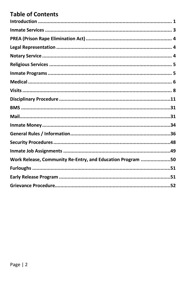# **Table of Contents**

| Work Release, Community Re-Entry, and Education Program 50 |  |
|------------------------------------------------------------|--|
|                                                            |  |
|                                                            |  |
|                                                            |  |
|                                                            |  |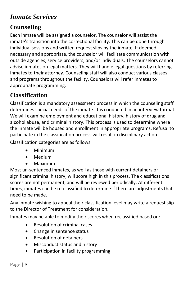# <span id="page-3-0"></span>*Inmate Services*

## **Counseling**

Each inmate will be assigned a counselor. The counselor will assist the inmate's transition into the correctional facility. This can be done through individual sessions and written request slips by the inmate. If deemed necessary and appropriate, the counselor will facilitate communication with outside agencies, service providers, and/or individuals. The counselors cannot advise inmates on legal matters. They will handle legal questions by referring inmates to their attorney. Counseling staff will also conduct various classes and programs throughout the facility. Counselors will refer inmates to appropriate programming.

## **Classification**

Classification is a mandatory assessment process in which the counseling staff determines special needs of the inmate. It is conducted in an interview format. We will examine employment and educational history, history of drug and alcohol abuse, and criminal history. This process is used to determine where the inmate will be housed and enrollment in appropriate programs. Refusal to participate in the classification process will result in disciplinary action.

Classification categories are as follows:

- Minimum
- Medium
- Maximum

Most un-sentenced inmates, as well as those with current detainers or significant criminal history, will score high in this process. The classifications scores are not permanent, and will be reviewed periodically. At different times, inmates can be re-classified to determine if there are adjustments that need to be made.

Any inmate wishing to appeal their classification level may write a request slip to the Director of Treatment for consideration.

Inmates may be able to modify their scores when reclassified based on:

- Resolution of criminal cases
- Change in sentence status
- Resolution of detainers
- Misconduct status and history
- Participation in facility programming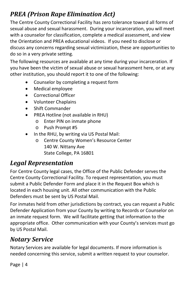# <span id="page-4-0"></span>*PREA (Prison Rape Elimination Act)*

The Centre County Correctional Facility has zero tolerance toward all forms of sexual abuse and sexual harassment. During your incarceration, you will meet with a counselor for classification, complete a medical assessment, and view the Orientation and PREA educational videos. If you need to disclose or discuss any concerns regarding sexual victimization, these are opportunities to do so in a very private setting.

The following resources are available at any time during your incarceration. If you have been the victim of sexual abuse or sexual harassment here, or at any other institution, you should report it to one of the following:

- Counselor by completing a request form
- Medical employee
- Correctional Officer
- Volunteer Chaplains
- Shift Commander
- PREA Hotline (not available in RHU)
	- o Enter PIN on inmate phone
	- o Push Prompt #5
- In the RHU, by writing via US Postal Mail:
	- o Centre County Women's Resource Center 140 W. Nittany Ave State College, PA 16801

# <span id="page-4-1"></span>*Legal Representation*

For Centre County legal cases, the Office of the Public Defender serves the Centre County Correctional Facility. To request representation, you must submit a Public Defender Form and place it in the Request Box which is located in each housing unit. All other communication with the Public Defenders must be sent by US Postal Mail.

For inmates held from other jurisdictions by contract, you can request a Public Defender Application from your County by writing to Records or Counselor on an inmate request form. We will facilitate getting that information to the appropriate office. Other communication with your County's services must go by US Postal Mail.

# <span id="page-4-2"></span>*Notary Service*

Notary Services are available for legal documents. If more information is needed concerning this service, submit a written request to your counselor.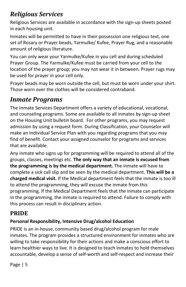# <span id="page-5-0"></span>*Religious Services*

Religious Services are available in accordance with the sign-up sheets posted in each housing unit.

Inmates will be permitted to have in their possession one religious text, one set of Rosary or Prayer beads, Yarmulke/ Kufee, Prayer Rug, and a reasonable amount of religious literature.

You can only wear your Yarmulke/Kufee in you cell and during scheduled Prayer Group. The Yarmulke/Kufee must be carried from your cell to the location of the prayer group; you may not wear it in between. Prayer rugs may be used for prayer in your cell only.

Prayer beads may be worn outside the cell, but must be worn under your shirt. Those worn over the clothes will be considered contraband.

# <span id="page-5-1"></span>*Inmate Programs*

The Inmate Services Department offers a variety of educational, vocational, and counseling programs. Some are available to all inmates by sign-up sheet on the Housing Unit bulletin board. For other programs, you may request admission by using a request form. During Classification, your Counselor will make an Individual Service Plan with you regarding programs that you may find of benefit. Contact your assigned counselor for programs and services that are available.

Any inmate who signs up for programming will be required to attend all of the groups, classes, meetings etc. **The only way that an inmate is excused from the programming is by the medical department.** The inmate will have to complete a sick call slip and be seen by the medical department. **This will be a charged medical visit.** If the Medical department feels that the inmate is too ill to attend the programming, they will excuse the inmate from this programming. If the Medical Department feels that the inmate can participate in the programming, the inmate is required to attend. Failure to comply with this process can result in disciplinary action.

# **PRIDE**

## **Personal Responsibility, Intensive Drug/alcohol Education**

PRIDE is an in-house, community based drug/alcohol program for male inmates. The program provides a structured environment for inmates who are willing to take responsibility for their actions and make a conscious effort to learn healthier ways to live. It is designed to teach inmates to hold themselves accountable, develop a sense of self-worth and self-respect and increase their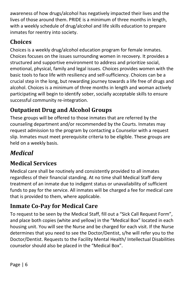awareness of how drugs/alcohol has negatively impacted their lives and the lives of those around them. PRIDE is a minimum of three months in length, with a weekly schedule of drug/alcohol and life skills education to prepare inmates for reentry into society.

# **Choices**

Choices is a weekly drug/alcohol education program for female inmates. Choices focuses on the issues surrounding women in recovery. It provides a structured and supportive environment to address and prioritize social, emotional, physical, family and legal issues. Choices provides women with the basic tools to face life with resiliency and self-sufficiency. Choices can be a crucial step in the long, but rewarding journey towards a life free of drugs and alcohol. Choices is a minimum of three months in length and woman actively participating will begin to identify sober, socially acceptable skills to ensure successful community re-integration.

# **Outpatient Drug and Alcohol Groups**

These groups will be offered to those inmates that are referred by the counseling department and/or recommended by the Courts. Inmates may request admission to the program by contacting a Counselor with a request slip. Inmates must meet prerequisite criteria to be eligible. These groups are held on a weekly basis.

# <span id="page-6-0"></span>*Medical*

# **Medical Services**

Medical care shall be routinely and consistently provided to all inmates regardless of their financial standing. At no time shall Medical Staff deny treatment of an inmate due to indigent status or unavailability of sufficient funds to pay for the service. All inmates will be charged a fee for medical care that is provided to them, where applicable.

# **Inmate Co-Pay for Medical Care**

To request to be seen by the Medical Staff, fill out a "Sick Call Request Form", and place both copies (white and yellow) in the "Medical Box" located in each housing unit. You will see the Nurse and be charged for each visit. If the Nurse determines that you need to see the Doctor/Dentist, s/he will refer you to the Doctor/Dentist. Requests to the Facility Mental Health/ Intellectual Disabilities counselor should also be placed in the "Medical Box".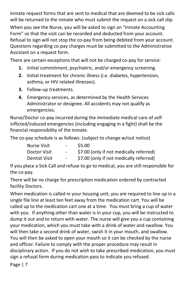Inmate request forms that are sent to medical that are deemed to be sick calls will be returned to the inmate who must submit the request on a sick call slip.

When you see the Nurse, you will be asked to sign an "Inmate Accounting Form" so that the visit can be recorded and deducted from your account. Refusal to sign will not stop the co-pay from being debited from your account. Questions regarding co-pay charges must be submitted to the Administrative Assistant on a request form.

There are certain exceptions that will not be charged co-pay for service:

- **1.** Initial commitment, psychiatric, and/or emergency screening.
- **2.** Initial treatment for chronic illness (i.e. diabetes, hypertension, asthma, or HIV related illnesses).
- **3.** Follow-up treatments.
- **4.** Emergency services, as determined by the Health Services Administrator or designee. All accidents may not qualify as emergencies.

Nurse/Doctor co-pay incurred during the immediate medical care of selfinflicted/induced emergencies (including engaging in a fight) shall be the financial responsibility of the inmate.

The co-pay schedule is as follows: (subject to change w/out notice)

| Nurse Visit   | $\sim$ | \$5.00                                  |
|---------------|--------|-----------------------------------------|
| Doctor Visit  | $\sim$ | \$7.00 (only if not medically referred) |
| Dentist Visit | $\sim$ | \$7.00 (only if not medically referred) |

If you place a Sick Call and refuse to go to medical, you are still responsible for the co-pay.

There will be no charge for prescription medication ordered by contracted facility Doctors.

When medication is called in your housing unit, you are required to line up in a single file line at least ten feet away from the medication cart. You will be called up to the medication cart one at a time. You must bring a cup of water with you. If anything other than water is in your cup, you will be instructed to dump it out and to return with water. The nurse will give you a cup containing your medication, which you must take with a drink of water and swallow. You will then take a second drink of water, swish it in your mouth, and swallow. You will then be asked to open your mouth so it can be checked by the nurse and officer. Failure to comply with the proper procedure may result in disciplinary action. If you do not wish to take prescribed medication, you must sign a refusal form during medication pass to indicate you refused.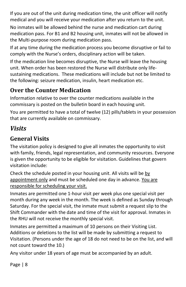If you are out of the unit during medication time, the unit officer will notify medical and you will receive your medication after you return to the unit.

No inmates will be allowed behind the nurse and medication cart during medication pass. For B1 and B2 housing unit, inmates will not be allowed in the Multi-purpose room during medication pass.

If at any time during the medication process you become disruptive or fail to comply with the Nurse's orders, disciplinary action will be taken.

If the medication line becomes disruptive, the Nurse will leave the housing unit. When order has been restored the Nurse will distribute only lifesustaining medications. These medications will include but not be limited to the following: seizure medication, insulin, heart medication etc.

# **Over the Counter Medication**

Information relative to over the counter medications available in the commissary is posted on the bulletin board in each housing unit.

You are permitted to have a total of twelve (12) pills/tablets in your possession that are currently available on commissary.

# <span id="page-8-0"></span>*Visits*

# **General Visits**

The visitation policy is designed to give all inmates the opportunity to visit with family, friends, legal representation, and community resources. Everyone is given the opportunity to be eligible for visitation. Guidelines that govern visitation include:

Check the schedule posted in your housing unit. All visits will be by appointment only and must be scheduled one day in advance. You are responsible for scheduling your visit.

Inmates are permitted one 1-hour visit per week plus one special visit per month during any week in the month. The week is defined as Sunday through Saturday. For the special visit, the inmate must submit a request slip to the Shift Commander with the date and time of the visit for approval. Inmates in the RHU will not receive the monthly special visit.

Inmates are permitted a maximum of 10 persons on their Visiting List. Additions or deletions to the list will be made by submitting a request to Visitation. (Persons under the age of 18 do not need to be on the list, and will not count toward the 10.)

Any visitor under 18 years of age must be accompanied by an adult.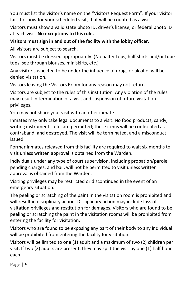You must list the visitor's name on the "Visitors Request Form". If your visitor fails to show for your scheduled visit, that will be counted as a visit.

Visitors must show a valid state photo ID, driver's license, or federal photo ID at each visit. **No exceptions to this rule.**

#### **Visitors must sign in and out of the facility with the lobby officer.**

All visitors are subject to search.

Visitors must be dressed appropriately. (No halter tops, half shirts and/or tube tops, see through blouses, miniskirts, etc.)

Any visitor suspected to be under the influence of drugs or alcohol will be denied visitation.

Visitors leaving the Visitors Room for any reason may not return.

Visitors are subject to the rules of this institution. Any violation of the rules may result in termination of a visit and suspension of future visitation privileges.

You may not share your visit with another inmate.

Inmates may only take legal documents to a visit. No food products, candy, writing instruments, etc. are permitted; these items will be confiscated as contraband, and destroyed. The visit will be terminated, and a misconduct issued.

Former inmates released from this facility are required to wait six months to visit unless written approval is obtained from the Warden.

Individuals under any type of court supervision, including probation/parole, pending charges, and bail, will not be permitted to visit unless written approval is obtained from the Warden.

Visiting privileges may be restricted or discontinued in the event of an emergency situation.

The peeling or scratching of the paint in the visitation room is prohibited and will result in disciplinary action. Disciplinary action may include loss of visitation privileges and restitution for damages. Visitors who are found to be peeling or scratching the paint in the visitation rooms will be prohibited from entering the facility for visitation.

Visitors who are found to be exposing any part of their body to any individual will be prohibited from entering the facility for visitation.

Visitors will be limited to one (1) adult and a maximum of two (2) children per visit. If two (2) adults are present, they may split the visit by one (1) half hour each.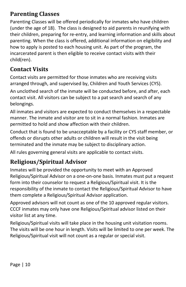## **Parenting Classes**

Parenting Classes will be offered periodically for inmates who have children (under the age of 18). The class is designed to aid parents in reunifying with their children, preparing for re-entry, and learning information and skills about parenting. When the class is offered, additional information on eligibility and how to apply is posted to each housing unit. As part of the program, the incarcerated parent is then eligible to receive contact visits with their child(ren).

## **Contact Visits**

Contact visits are permitted for those inmates who are receiving visits arranged through, and supervised by, Children and Youth Services (CYS).

An unclothed search of the inmate will be conducted before, and after, each contact visit. All visitors can be subject to a pat search and search of any belongings.

All inmates and visitors are expected to conduct themselves in a respectable manner. The inmate and visitor are to sit in a normal fashion. Inmates are permitted to hold and show affection with their children.

Conduct that is found to be unacceptable by a facility or CYS staff member, or offends or disrupts other adults or children will result in the visit being terminated and the inmate may be subject to disciplinary action.

All rules governing general visits are applicable to contact visits.

# **Religious/Spiritual Advisor**

Inmates will be provided the opportunity to meet with an Approved Religious/Spiritual Advisor on a one-on-one basis. Inmates must put a request form into their counselor to request a Religious/Spiritual visit. It is the responsibility of the inmate to contact the Religious/Spiritual Advisor to have them complete a Religious/Spiritual Advisor application.

Approved advisors will not count as one of the 10 approved regular visitors. CCCF inmates may only have one Religious/Spiritual advisor listed on their visitor list at any time.

Religious/Spiritual visits will take place in the housing unit visitation rooms. The visits will be one hour in length. Visits will be limited to one per week. The Religious/Spiritual visit will not count as a regular or special visit.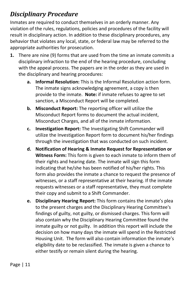# <span id="page-11-0"></span>*Disciplinary Procedure*

Inmates are required to conduct themselves in an orderly manner. Any violation of the rules, regulations, policies and procedures of the facility will result in disciplinary action. In addition to these disciplinary procedures, any behavior that violates any local, state, or federal law may be referred to the appropriate authorities for prosecution.

- **1.** There are nine (9) forms that are used from the time an inmate commits a disciplinary infraction to the end of the hearing procedure, concluding with the appeal process. The papers are in the order as they are used in the disciplinary and hearing procedures:
	- **a. Informal Resolution:** This is the Informal Resolution action form. The inmate signs acknowledging agreement, a copy is then provide to the inmate. **Note:** if inmate refuses to agree to set sanction, a Misconduct Report will be completed.
	- **b. Misconduct Report:** The reporting officer will utilize the Misconduct Report forms to document the actual incident, Misconduct Charges, and all of the inmate information.
	- **c. Investigation Report:** The Investigating Shift Commander will utilize the Investigation Report form to document his/her findings through the investigation that was conducted on such incident.
	- **d. Notification of Hearing & Inmate Request for Representation or Witness Form:** This form is given to each inmate to inform them of their rights and hearing date. The inmate will sign this form indicating that he/she has been notified of his/her rights. This form also provides the inmate a chance to request the presence of witnesses, or a staff representative at their hearing. If the inmate requests witnesses or a staff representative, they must complete their copy and submit to a Shift Commander.
	- **e. Disciplinary Hearing Report:** This form contains the inmate's plea to the present charges and the Disciplinary Hearing Committee's findings of guilty, not guilty, or dismissed charges. This form will also contain why the Disciplinary Hearing Committee found the inmate guilty or not guilty. In addition this report will include the decision on how many days the inmate will spend in the Restricted Housing Unit. The form will also contain information the inmate's eligibility date to be reclassified. The inmate is given a chance to either testify or remain silent during the hearing.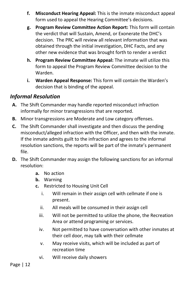- **f. Misconduct Hearing Appeal:** This is the inmate misconduct appeal form used to appeal the Hearing Committee's decisions.
- **g. Program Review Committee Action Report:** This form will contain the verdict that will Sustain, Amend, or Exonerate the DHC's decision. The PRC will review all relevant information that was obtained through the initial investigation, DHC Facts, and any other new evidence that was brought forth to render a verdict
- **h. Program Review Committee Appeal:** The inmate will utilize this form to appeal the Program Review Committee decision to the Warden.
- **i. Warden Appeal Response:** This form will contain the Warden's decision that is binding of the appeal.

#### *Informal Resolution*

- **A.** The Shift Commander may handle reported misconduct infraction informally for minor transgressions that are reported.
- **B.** Minor transgressions are Moderate and Low category offenses.
- **C.** The Shift Commander shall investigate and then discuss the pending misconduct/alleged infraction with the Officer, and then with the inmate. If the inmate admits guilt to the infraction and agrees to the informal resolution sanctions, the reports will be part of the inmate's permanent file.
- **D.** The Shift Commander may assign the following sanctions for an informal resolution:
	- **a.** No action
	- **b.** Warning
	- **c.** Restricted to Housing Unit Cell
		- i. Will remain in their assign cell with cellmate if one is present.
		- ii. All meals will be consumed in their assign cell
		- iii. Will not be permitted to utilize the phone, the Recreation Area or attend programing or services.
		- iv. Not permitted to have conversation with other inmates at their cell door, may talk with their cellmate
		- v. May receive visits, which will be included as part of recreation time
		- vi. Will receive daily showers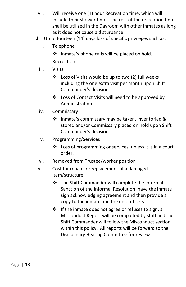- vii. Will receive one (1) hour Recreation time, which will include their shower time. The rest of the recreation time shall be utilized in the Dayroom with other inmates as long as it does not cause a disturbance.
- **d.** Up to fourteen (14) days loss of specific privileges such as:
	- i. Telephone
		- $\cdot \cdot$  Inmate's phone calls will be placed on hold.
	- ii. Recreation
	- iii. Visits
		- Loss of Visits would be up to two (2) full weeks including the one extra visit per month upon Shift Commander's decision.
		- ❖ Loss of Contact Visits will need to be approved by Administration
	- iv. Commissary
		- $\cdot$  Inmate's commissary may be taken, inventoried & stored and/or Commissary placed on hold upon Shift Commander's decision.
	- v. Programming/Services
		- $\cdot$  Loss of programming or services, unless it is in a court order.
	- vi. Removed from Trustee/worker position
	- vii. Cost for repairs or replacement of a damaged item/structure.
		- \* The Shift Commander will complete the Informal Sanction of the Informal Resolution, have the inmate sign acknowledging agreement and then provide a copy to the inmate and the unit officers.
		- $\cdot \cdot$  If the inmate does not agree or refuses to sign, a Misconduct Report will be completed by staff and the Shift Commander will follow the Misconduct section within this policy. All reports will be forward to the Disciplinary Hearing Committee for review.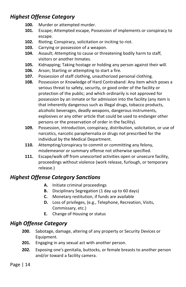## *Highest Offense Category*

- **100.** Murder or attempted murder.
- **101.** Escape; Attempted escape, Possession of implements or conspiracy to escape.
- **102.** Rioting; Conspiracy, solicitation or inciting to riot.
- **103.** Carrying or possession of a weapon.
- **104.** Assault; Attempting to cause or threatening bodily harm to staff, visitors or another Inmates.
- **105.** Kidnapping; Taking hostage or holding any person against their will.
- **106.** Arson; Starting or attempting to start a fire.
- **107.** Possession of staff clothing, unauthorized personal clothing.
- **108.** Possession or Knowledge of Hard Contraband: Any item which poses a serious threat to safety, security, or good order of the facility or protection of the public; and which ordinarily is not approved for possession by an inmate or for admission into the facility (any item is that inherently dangerous such as illegal drugs, tobacco products, alcoholic beverages, deadly weapons, dangerous instruments, explosives or any other article that could be used to endanger other persons or the preservation of order in the facility).
- **109.** Possession, introduction, conspiracy, distribution, solicitation, or use of narcotics, narcotic paraphernalia or drugs not prescribed for the individual by the Medical Department.
- **110.** Attempting/conspiracy to commit or committing any felony, misdemeanor or summary offense not otherwise specified.
- **111.** Escape/walk off from unescorted activities open or unsecure facility, proceedings without violence (work release, furlough, or temporary release.)

## *Highest Offense Category Sanctions*

- **A.** Initiate criminal proceedings
- **B.** Disciplinary Segregation (1 day up to 60 days)
- **C.** Monetary restitution, if funds are available
- **D.** Loss of privileges, (e.g., Telephone, Recreation, Visits, Commissary, etc.)
- **E.** Change of Housing or status

## *High Offense Category*

- **200.** Sabotage, damage, altering of any property or Security Devices or Equipment.
- **201.** Engaging in any sexual act with another person.
- **202.** Exposing one's genitalia, buttocks, or female breasts to another person and/or toward a facility camera.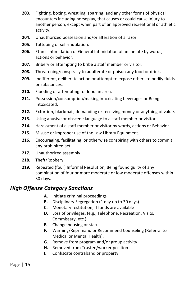- **203.** Fighting, boxing, wrestling, sparring, and any other forms of physical encounters including horseplay, that causes or could cause injury to another person; except when part of an approved recreational or athletic activity.
- **204.** Unauthorized possession and/or alteration of a razor.
- **205.** Tattooing or self-mutilation.
- **206.** Ethnic Intimidation or General Intimidation of an inmate by words, actions or behavior.
- **207.** Bribery or attempting to bribe a staff member or visitor.
- **208.** Threatening/conspiracy to adulterate or poison any food or drink.
- **209.** Indifferent, deliberate action or attempt to expose others to bodily fluids or substances.
- **210.** Flooding or attempting to flood an area.
- **211.** Possession/consumption/making intoxicating beverages or Being Intoxicated.
- **212.** Extortion, blackmail, demanding or receiving money or anything of value.
- **213.** Using abusive or obscene language to a staff member or visitor.
- **214.** Harassment of a staff member or visitor by words, actions or Behavior.
- **215.** Misuse or improper use of the Law Library Equipment.
- **216.** Encouraging, facilitating, or otherwise conspiring with others to commit any prohibited act.
- **217.** Unauthorized assembly
- **218.** Theft/Robbery
- **219.** Repeated (four) Informal Resolution, Being found guilty of any combination of four or more moderate or low moderate offenses within 30 days.

#### *High Offense Category Sanctions*

- **A.** Initiate criminal proceedings
- **B.** Disciplinary Segregation (1 day up to 30 days)
- **C.** Monetary restitution, if funds are available
- **D.** Loss of privileges, (e.g., Telephone, Recreation, Visits, Commissary, etc.)
- **E.** Change housing or status
- **F.** Warning/Reprimand or Recommend Counseling (Referral to Medical or Mental Health).
- **G.** Remove from program and/or group activity
- **H.** Removed from Trustee/worker position
- **I.** Confiscate contraband or property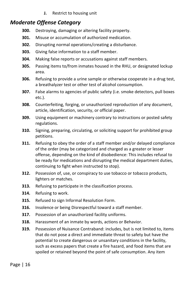**J.** Restrict to housing unit

## *Moderate Offense Category*

- **300.** Destroying, damaging or altering facility property.
- **301.** Misuse or accumulation of authorized medication.
- **302.** Disrupting normal operations/creating a disturbance.
- **303.** Giving false information to a staff member.
- **304.** Making false reports or accusations against staff members.
- **305.** Passing items to/from inmates housed in the RHU, or designated lockup area.
- **306.** Refusing to provide a urine sample or otherwise cooperate in a drug test, a breathalyzer test or other test of alcohol consumption.
- **307.** False alarms to agencies of public safety (i.e. smoke detectors, pull boxes etc.).
- **308.** Counterfeiting, forging, or unauthorized reproduction of any document, article, identification, security, or official paper.
- **309.** Using equipment or machinery contrary to instructions or posted safety regulations.
- **310.** Signing, preparing, circulating, or soliciting support for prohibited group petitions.
- **311.** Refusing to obey the order of a staff member and/or delayed compliance of the order (may be categorized and charged as a greater or lesser offense, depending on the kind of disobedience: This includes refusal to be ready for medications and disrupting the medical department duties, continuing to fight when instructed to stop).
- **312.** Possession of, use, or conspiracy to use tobacco or tobacco products, lighters or matches.
- **313.** Refusing to participate in the classification process.
- **314.** Refusing to work.
- **315.** Refused to sign Informal Resolution Form.
- **316.** Insolence or being Disrespectful toward a staff member.
- **317.** Possession of an unauthorized facility uniforms.
- **318.** Harassment of an inmate by words, actions or Behavior.
- **319.** Possession of Nuisance Contraband: includes, but is not limited to, items that do not pose a direct and immediate threat to safety but have the potential to create dangerous or unsanitary conditions in the facility, such as excess papers that create a fire hazard, and food items that are spoiled or retained beyond the point of safe consumption. Any item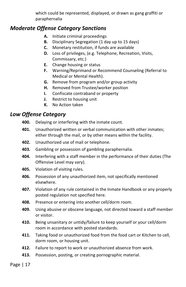which could be represented, displayed, or drawn as gang graffiti or paraphernalia

#### *Moderate Offense Category Sanctions*

- **A.** Initiate criminal proceedings
- **B.** Disciplinary Segregation (1 day up to 15 days)
- **C.** Monetary restitution, if funds are available
- **D.** Loss of privileges, (e.g. Telephone, Recreation, Visits, Commissary, etc.)
- **E.** Change housing or status
- **F.** Warning/Reprimand or Recommend Counseling (Referral to Medical or Mental Health).
- **G.** Remove from program and/or group activity
- **H.** Removed from Trustee/worker position
- **I.** Confiscate contraband or property
- **J.** Restrict to housing unit
- **K.** No Action taken

#### *Low Offense Category*

- **400.** Delaying or interfering with the inmate count.
- **401.** Unauthorized written or verbal communication with other inmates; either through the mail, or by other means within the facility.
- **402.** Unauthorized use of mail or telephone.
- **403.** Gambling or possession of gambling paraphernalia.
- **404.** Interfering with a staff member in the performance of their duties (The Offensive Level may vary).
- **405.** Violation of visiting rules.
- **406.** Possession of any unauthorized item, not specifically mentioned elsewhere.
- **407.** Violation of any rule contained in the Inmate Handbook or any properly posted regulation not specified here.
- **408.** Presence or entering into another cell/dorm room.
- **409.** Using abusive or obscene language, not directed toward a staff member or visitor.
- **410.** Being unsanitary or untidy/failure to keep yourself or your cell/dorm room in accordance with posted standards.
- **411.** Taking food or unauthorized food from the food cart or Kitchen to cell, dorm room, or housing unit.
- **412.** Failure to report to work or unauthorized absence from work.
- **413.** Possession, posting, or creating pornographic material.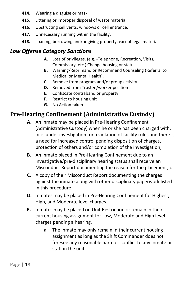- **414.** Wearing a disguise or mask.
- **415.** Littering or improper disposal of waste material.
- **416.** Obstructing cell vents, windows or cell entrance.
- **417.** Unnecessary running within the facility.
- **418.** Loaning, borrowing and/or giving property, except legal material.

## *Low Offense Category Sanctions*

- **A.** Loss of privileges, (e.g. -Telephone, Recreation, Visits, Commissary, etc.) Change housing or status
- **B.** Warning/Reprimand or Recommend Counseling (Referral to Medical or Mental Health).
- **C.** Remove from program and/or group activity
- **D.** Removed from Trustee/worker position
- **E.** Confiscate contraband or property
- **F.** Restrict to housing unit
- **G.** No Action taken

# **Pre-Hearing Confinement (Administrative Custody)**

- **A.** An inmate may be placed in Pre-Hearing Confinement (Administrative Custody) when he or she has been charged with, or is under investigation for a violation of facility rules and there is a need for increased control pending disposition of charges, protection of others and/or completion of the investigation;
- **B.** An inmate placed in Pre-Hearing Confinement due to an investigative/pre-disciplinary hearing status shall receive an Misconduct Report documenting the reason for the placement; or
- **C.** A copy of their Misconduct Report documenting the charges against the inmate along with other disciplinary paperwork listed in this procedure.
- **D.** Inmates may be placed in Pre-Hearing Confinement for Highest, High, and Moderate level charges.
- **E.** Inmates may be placed on Unit Restriction or remain in their current housing assignment for Low, Moderate and High level charges pending a hearing.
	- a. The inmate may only remain in their current housing assignment as long as the Shift Commander does not foresee any reasonable harm or conflict to any inmate or staff in the unit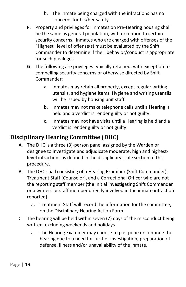- b. The inmate being charged with the infractions has no concerns for his/her safety.
- **F.** Property and privileges for inmates on Pre-Hearing housing shall be the same as general population, with exception to certain security concerns. Inmates who are charged with offenses of the "Highest" level of offense(s) must be evaluated by the Shift Commander to determine if their behavior/conduct is appropriate for such privileges.
- **G.** The following are privileges typically retained, with exception to compelling security concerns or otherwise directed by Shift Commander:
	- a. Inmates may retain all property, except regular writing utensils, and hygiene items. Hygiene and writing utensils will be issued by housing unit staff.
	- b. Inmates may not make telephone calls until a Hearing is held and a verdict is render guilty or not guilty.
	- c. Inmates may not have visits until a Hearing is held and a verdict is render guilty or not guilty.

# **Disciplinary Hearing Committee (DHC)**

- A. The DHC is a three (3)-person panel assigned by the Warden or designee to investigate and adjudicate moderate, high and highestlevel infractions as defined in the disciplinary scale section of this procedure.
- B. The DHC shall consisting of a Hearing Examiner (Shift Commander), Treatment Staff (Counselor), and a Correctional Officer who are not the reporting staff member (the initial investigating Shift Commander or a witness or staff member directly involved in the inmate infraction reported).
	- a. Treatment Staff will record the information for the committee, on the Disciplinary Hearing Action Form.
- C. The hearing will be held within seven (7) days of the misconduct being written, excluding weekends and holidays.
	- a. The Hearing Examiner may choose to postpone or continue the hearing due to a need for further investigation, preparation of defense, illness and/or unavailability of the inmate.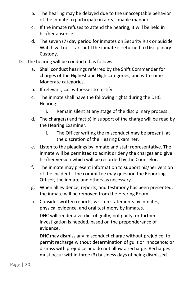- b. The hearing may be delayed due to the unacceptable behavior of the inmate to participate in a reasonable manner.
- c. If the inmate refuses to attend the hearing, it will be held in his/her absence.
- d. The seven (7) day period for inmates on Security Risk or Suicide Watch will not start until the inmate is returned to Disciplinary Custody.
- D. The hearing will be conducted as follows:
	- a. Shall conduct hearings referred by the Shift Commander for charges of the Highest and High categories, and with some Moderate categories.
	- b. If relevant, call witnesses to testify
	- c. The inmate shall have the following rights during the DHC Hearing:
		- i. Remain silent at any stage of the disciplinary process.
	- d. The charge(s) and fact(s) in support of the charge will be read by the Hearing Examiner.
		- i. The Officer writing the misconduct may be present, at the discretion of the Hearing Examiner.
	- e. Listen to the pleadings by inmate and staff representative. The inmate will be permitted to admit or deny the charges and give his/her version which will be recorded by the Counselor.
	- f. The inmate may present information to support his/her version of the incident. The committee may question the Reporting Officer, the inmate and others as necessary.
	- g. When all evidence, reports, and testimony has been presented, the inmate will be removed from the Hearing Room.
	- h. Consider written reports, written statements by inmates, physical evidence, and oral testimony by inmates.
	- i. DHC will render a verdict of guilty, not guilty, or further investigation is needed, based on the preponderance of evidence.
	- j. DHC may dismiss any misconduct charge without prejudice, to permit recharge without determination of guilt or innocence; or dismiss with prejudice and do not allow a recharge. Recharges must occur within three (3) business days of being dismissed.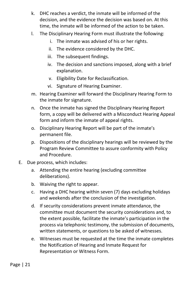- k. DHC reaches a verdict, the inmate will be informed of the decision, and the evidence the decision was based on. At this time, the inmate will be informed of the action to be taken.
- l. The Disciplinary Hearing Form must illustrate the following:
	- i. The inmate was advised of his or her rights.
	- ii. The evidence considered by the DHC.
	- iii. The subsequent findings.
	- iv. The decision and sanctions imposed, along with a brief explanation.
	- v. Eligibility Date for Reclassification.
	- vi. Signature of Hearing Examiner.
- m. Hearing Examiner will forward the Disciplinary Hearing Form to the inmate for signature.
- n. Once the inmate has signed the Disciplinary Hearing Report form, a copy will be delivered with a Misconduct Hearing Appeal form and inform the inmate of appeal rights.
- o. Disciplinary Hearing Report will be part of the inmate's permanent file.
- p. Dispositions of the disciplinary hearings will be reviewed by the Program Review Committee to assure conformity with Policy and Procedure.
- E. Due process, which includes:
	- a. Attending the entire hearing (excluding committee deliberations).
	- b. Waiving the right to appear.
	- c. Having a DHC hearing within seven (7) days excluding holidays and weekends after the conclusion of the investigation.
	- d. If security considerations prevent inmate attendance, the committee must document the security considerations and, to the extent possible, facilitate the inmate's participation in the process via telephonic testimony, the submission of documents, written statements, or questions to be asked of witnesses.
	- e. Witnesses must be requested at the time the inmate completes the Notification of Hearing and Inmate Request for Representation or Witness Form.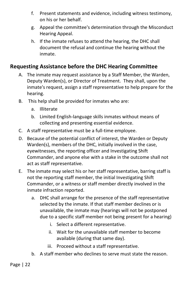- f. Present statements and evidence, including witness testimony, on his or her behalf.
- g. Appeal the committee's determination through the Misconduct Hearing Appeal.
- h. If the inmate refuses to attend the hearing, the DHC shall document the refusal and continue the hearing without the inmate.

## **Requesting Assistance before the DHC Hearing Committee**

- A. The inmate may request assistance by a Staff Member, the Warden, Deputy Warden(s), or Director of Treatment. They shall, upon the inmate's request, assign a staff representative to help prepare for the hearing.
- B. This help shall be provided for inmates who are:
	- a. Illiterate
	- b. Limited English-language skills inmates without means of collecting and presenting essential evidence.
- C. A staff representative must be a full-time employee.
- D. Because of the potential conflict of interest, the Warden or Deputy Warden(s), members of the DHC, initially involved in the case, eyewitnesses, the reporting officer and Investigating Shift Commander, and anyone else with a stake in the outcome shall not act as staff representative.
- E. The inmate may select his or her staff representative, barring staff is not the reporting staff member, the initial Investigating Shift Commander, or a witness or staff member directly involved in the inmate infraction reported.
	- a. DHC shall arrange for the presence of the staff representative selected by the inmate. If that staff member declines or is unavailable, the inmate may (hearings will not be postponed due to a specific staff member not being present for a hearing)
		- i. Select a different representative.
		- ii. Wait for the unavailable staff member to become available (during that same day).
		- iii. Proceed without a staff representative.
	- b. A staff member who declines to serve must state the reason.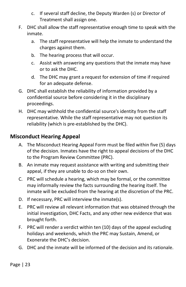- c. If several staff decline, the Deputy Warden (s) or Director of Treatment shall assign one.
- F. DHC shall allow the staff representative enough time to speak with the inmate.
	- a. The staff representative will help the inmate to understand the charges against them.
	- b. The hearing process that will occur.
	- c. Assist with answering any questions that the inmate may have or to ask the DHC.
	- d. The DHC may grant a request for extension of time if required for an adequate defense.
- G. DHC shall establish the reliability of information provided by a confidential source before considering it in the disciplinary proceedings.
- H. DHC may withhold the confidential source's identity from the staff representative. While the staff representative may not question its reliability (which is pre-established by the DHC).

#### **Misconduct Hearing Appeal**

- A. The Misconduct Hearing Appeal Form must be filed within five (5) days of the decision. Inmates have the right to appeal decisions of the DHC to the Program Review Committee (PRC).
- B. An inmate may request assistance with writing and submitting their appeal, if they are unable to do-so on their own.
- C. PRC will schedule a hearing, which may be formal, or the committee may informally review the facts surrounding the hearing itself. The inmate will be excluded from the hearing at the discretion of the PRC.
- D. If necessary, PRC will interview the inmate(s).
- E. PRC will review all relevant information that was obtained through the initial investigation, DHC Facts, and any other new evidence that was brought forth.
- F. PRC will render a verdict within ten (10) days of the appeal excluding holidays and weekends, which the PRC may Sustain, Amend, or Exonerate the DHC's decision.
- G. DHC and the inmate will be informed of the decision and its rationale.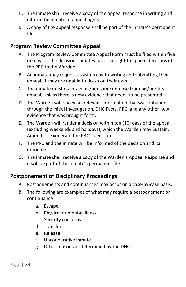- H. The inmate shall receive a copy of the appeal response in writing and inform the inmate of appeal rights.
- I. A copy of the appeal response shall be part of the inmate's permanent file.

#### **Program Review Committee Appeal**

- A. The Program Review Committee Appeal Form must be filed within five (5) days of the decision. Inmates have the right to appeal decisions of the PRC to the Warden.
- B. An inmate may request assistance with writing and submitting their appeal, if they are unable to do-so on their own.
- C. The inmate must maintain his/her same defense from his/her first appeal, unless there is new evidence that needs to be presented.
- D. The Warden will review all relevant information that was obtained through the initial investigation, DHC Facts, PRC, and any other new evidence that was brought forth.
- E. The Warden will render a decision within ten (10) days of the appeal, (excluding weekends and holidays), which the Warden may Sustain, Amend, or Exonerate the PRC's decision.
- F. The PRC and the inmate will be informed of the decision and its rationale.
- G. The inmate shall receive a copy of the Warden's Appeal Response and it will be part of the inmate's permanent file.

#### **Postponement of Disciplinary Proceedings**

- A. Postponements and continuances may occur on a case-by-case basis.
- B. The following are examples of what may require a postponement or continuance
	- a. Escape
	- b. Physical or mental illness
	- c. Security concerns
	- d. Transfer
	- e. Release
	- f. Uncooperative inmate
	- g. Other reasons as determined by the DHC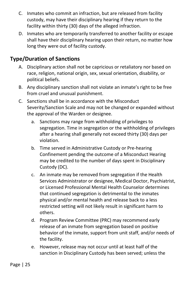- C. Inmates who commit an infraction, but are released from facility custody, may have their disciplinary hearing if they return to the facility within thirty (30) days of the alleged infraction.
- D. Inmates who are temporarily transferred to another facility or escape shall have their disciplinary hearing upon their return, no matter how long they were out of facility custody.

## **Type/Duration of Sanctions**

- A. Disciplinary action shall not be capricious or retaliatory nor based on race, religion, national origin, sex, sexual orientation, disability, or political beliefs.
- B. Any disciplinary sanction shall not violate an inmate's right to be free from cruel and unusual punishment.
- C. Sanctions shall be in accordance with the Misconduct Severity/Sanction Scale and may not be changed or expanded without the approval of the Warden or designee.
	- a. Sanctions may range from withholding of privileges to segregation. Time in segregation or the withholding of privileges after a hearing shall generally not exceed thirty (30) days per violation.
	- b. Time served in Administrative Custody or Pre-hearing Confinement pending the outcome of a Misconduct Hearing may be credited to the number of days spent in Disciplinary Custody (DC).
	- c. An inmate may be removed from segregation if the Health Services Administrator or designee, Medical Doctor, Psychiatrist, or Licensed Professional Mental Health Counselor determines that continued segregation is detrimental to the inmates physical and/or mental health and release back to a less restricted setting will not likely result in significant harm to others.
	- d. Program Review Committee (PRC) may recommend early release of an inmate from segregation based on positive behavior of the inmate, support from unit staff, and/or needs of the facility.
	- e. However, release may not occur until at least half of the sanction in Disciplinary Custody has been served; unless the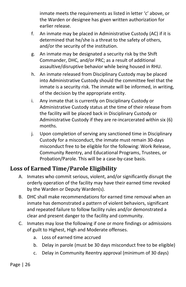inmate meets the requirements as listed in letter 'c' above, or the Warden or designee has given written authorization for earlier release.

- f. An inmate may be placed in Administrative Custody (AC) if it is determined that he/she is a threat to the safety of others, and/or the security of the institution.
- g. An inmate may be designated a security risk by the Shift Commander, DHC, and/or PRC; as a result of additional assaultive/disruptive behavior while being housed in RHU.
- h. An inmate released from Disciplinary Custody may be placed into Administrative Custody should the committee feel that the inmate is a security risk. The inmate will be informed, in writing, of the decision by the appropriate entity.
- i. Any inmate that is currently on Disciplinary Custody or Administrative Custody status at the time of their release from the facility will be placed back in Disciplinary Custody or Administrative Custody if they are re-incarcerated within six (6) months.
- j. Upon completion of serving any sanctioned time in Disciplinary Custody for a misconduct, the inmate must remain 30-days misconduct free to be eligible for the following: Work Release, Community Reentry, and Educational Programs, Trustees, or Probation/Parole. This will be a case-by-case basis.

## **Loss of Earned Time/Parole Eligibility**

- A. Inmates who commit serious, violent, and/or significantly disrupt the orderly operation of the facility may have their earned time revoked by the Warden or Deputy Warden(s).
- B. DHC shall make recommendations for earned time removal when an inmate has demonstrated a pattern of violent behaviors, significant and repeated failure to follow facility rules and/or demonstrated a clear and present danger to the facility and community.
- C. Inmates may lose the following if one or more findings or admissions of guilt to Highest, High and Moderate offenses.
	- a. Loss of earned time accrued
	- b. Delay in parole (must be 30 days misconduct free to be eligible)
	- c. Delay in Community Reentry approval (minimum of 30 days)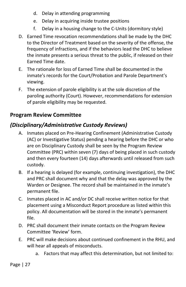- d. Delay in attending programming
- e. Delay in acquiring inside trustee positions
- f. Delay in a housing change to the C-Units (dormitory style)
- D. Earned Time revocation recommendations shall be made by the DHC to the Director of Treatment based on the severity of the offense, the frequency of infractions, and if the behaviors lead the DHC to believe the inmate presents a serious threat to the public, if released on their Earned Time date.
- E. The rationale for loss of Earned Time shall be documented in the inmate's records for the Court/Probation and Parole Department's viewing.
- F. The extension of parole eligibility is at the sole discretion of the paroling authority (Court). However, recommendations for extension of parole eligibility may be requested.

#### **Program Review Committee**

## *(Disciplinary/Administrative Custody Reviews)*

- A. Inmates placed on Pre-Hearing Confinement (Administrative Custody (AC) or Investigative Status) pending a hearing before the DHC or who are on Disciplinary Custody shall be seen by the Program Review Committee (PRC) within seven (7) days of being placed in such custody and then every fourteen (14) days afterwards until released from such custody.
- B. If a hearing is delayed (for example, continuing investigation), the DHC and PRC shall document why and that the delay was approved by the Warden or Designee. The record shall be maintained in the inmate's permanent file.
- C. Inmates placed in AC and/or DC shall receive written notice for that placement using a Misconduct Report procedure as listed within this policy. All documentation will be stored in the inmate's permanent file.
- D. PRC shall document their inmate contacts on the Program Review Committee 'Review' form.
- E. PRC will make decisions about continued confinement in the RHU, and will hear all appeals of misconducts.
	- a. Factors that may affect this determination, but not limited to: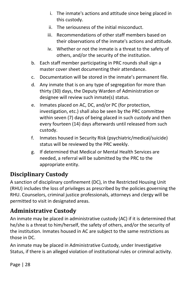- i. The inmate's actions and attitude since being placed in this custody.
- ii. The seriousness of the initial misconduct.
- iii. Recommendations of other staff members based on their observations of the inmate's actions and attitude.
- iv. Whether or not the inmate is a threat to the safety of others, and/or the security of the institution.
- b. Each staff member participating in PRC rounds shall sign a master cover sheet documenting their attendance.
- c. Documentation will be stored in the inmate's permanent file.
- d. Any inmate that is on any type of segregation for more than thirty (30) days, the Deputy Warden of Administration or designee will review such inmate(s) status.
- e. Inmates placed on AC, DC, and/or PC (for protection, investigation, etc.) shall also be seen by the PRC committee within seven (7) days of being placed in such custody and then every fourteen (14) days afterwards until released from such custody.
- f. Inmates housed in Security Risk (psychiatric/medical/suicide) status will be reviewed by the PRC weekly.
- g. If determined that Medical or Mental Health Services are needed, a referral will be submitted by the PRC to the appropriate entity.

## **Disciplinary Custody**

A sanction of disciplinary confinement (DC), in the Restricted Housing Unit (RHU) includes the loss of privileges as prescribed by the policies governing the RHU. Counselors, criminal justice professionals, attorneys and clergy will be permitted to visit in designated areas.

## **Administrative Custody**

An inmate may be placed in administrative custody (AC) if it is determined that he/she is a threat to him/herself, the safety of others, and/or the security of the institution. Inmates housed in AC are subject to the same restrictions as those in DC.

An inmate may be placed in Administrative Custody, under Investigative Status, if there is an alleged violation of institutional rules or criminal activity.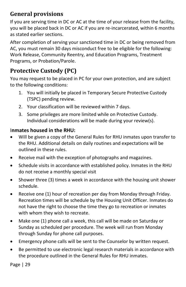## **General provisions**

If you are serving time in DC or AC at the time of your release from the facility, you will be placed back in DC or AC if you are re-incarcerated, within 6 months as stated earlier sections.

After completion of serving your sanctioned time in DC or being removed from AC, you must remain 30 days misconduct free to be eligible for the following: Work Release, Community Reentry, and Education Programs, Treatment Programs, or Probation/Parole.

# **Protective Custody (PC)**

You may request to be placed in PC for your own protection, and are subject to the following conditions:

- 1. You will initially be placed in Temporary Secure Protective Custody (TSPC) pending review.
- 2. Your classification will be reviewed within 7 days.
- 3. Some privileges are more limited while on Protective Custody. Individual considerations will be made during your review(s).

#### I**nmates housed in the RHU:**

- Will be given a copy of the General Rules for RHU inmates upon transfer to the RHU. Additional details on daily routines and expectations will be outlined in these rules.
- Receive mail with the exception of photographs and magazines.
- Schedule visits in accordance with established policy. Inmates in the RHU do not receive a monthly special visit
- Shower three (3) times a week in accordance with the housing unit shower schedule.
- Receive one (1) hour of recreation per day from Monday through Friday. Recreation times will be schedule by the Housing Unit Officer. Inmates do not have the right to choose the time they go to recreation or inmates with whom they wish to recreate.
- Make one (1) phone call a week, this call will be made on Saturday or Sunday as scheduled per procedure. The week will run from Monday through Sunday for phone call purposes.
- Emergency phone calls will be sent to the Counselor by written request.
- Be permitted to use electronic legal research materials in accordance with the procedure outlined in the General Rules for RHU inmates.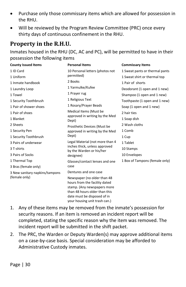- Purchase only those commissary items which are allowed for possession in the RHU.
- Will be reviewed by the Program Review Committee (PRC) once every thirty days of continuous confinement in the RHU.

## **Property in the R.H.U.**

Inmates housed in the RHU (DC, AC and PC), will be permitted to have in their possession the following items

| <b>County Issued Items</b>                      | <b>Personal Items</b>                                                                                                                                       | <b>Commissary Items</b>        |
|-------------------------------------------------|-------------------------------------------------------------------------------------------------------------------------------------------------------------|--------------------------------|
| 1 ID Card                                       | 10 Personal letters (photos not<br>permitted)                                                                                                               | 1 Sweat pants or thermal pants |
| 1 Uniform                                       |                                                                                                                                                             | 1 Sweat shirt or thermal top   |
| 1 Inmate handbook                               | 2 Books                                                                                                                                                     | 1 Pair of shorts               |
| 1 Laundry Loop                                  | 1 Yarmulke/Kufee                                                                                                                                            | Deodorant (1 open and 1 new)   |
| 1 Towel                                         | 1 Prayer rug                                                                                                                                                | Shampoo (1 open and 1 new)     |
| 1 Security Toothbrush                           | 1 Religious Text                                                                                                                                            | Toothpaste (1 open and 1 new)  |
| 1 Pair of shower shoes                          | 1 Rosary/Prayer Beads                                                                                                                                       | Soap (1 open and 1 new)        |
| 1 Pair of shoes                                 | Medical Items (Must be                                                                                                                                      | 2 hair ties                    |
| 1 Blanket                                       | approved in writing by the Med<br>Dept)                                                                                                                     | 1 Soap dish                    |
| 2 Sheets                                        | Prosthetic Devices (Must be<br>approved in writing by the Med                                                                                               | 2 Wash cloths                  |
| 1 Security Pen                                  |                                                                                                                                                             | 1 Comb                         |
| 1 Security Toothbrush                           | Dept)                                                                                                                                                       | 1 Cup                          |
| 3 Pairs of underwear                            | Legal Material (not more than 4                                                                                                                             | 1 Tablet                       |
| 3 T-shirts                                      | inches thick, unless approved<br>by the Warden or his/her                                                                                                   | 10 Stamps                      |
| 3 Pairs of Socks                                | designee)                                                                                                                                                   | 10 Envelopes                   |
| 1 Thermal Top                                   | Glasses/contact lenses and one                                                                                                                              | 1 Box of Tampons (female only) |
| 3 Bras (female only)                            | case                                                                                                                                                        |                                |
| 3 New sanitary napkins/tampons<br>(female only) | Dentures and one case                                                                                                                                       |                                |
|                                                 | Newspaper (no older than 48<br>hours from the facility dated<br>stamp. (Any newspapers more<br>than 48 hours older than this<br>date must be disposed of in |                                |

1. Any of these items may be removed from the inmate's possession for security reasons. If an item is removed an incident report will be completed, stating the specific reason why the item was removed. The incident report will be submitted in the shift packet.

your housing unit trash can.)

2. The PRC, the Warden or Deputy Warden(s) may approve additional items on a case-by-case basis. Special consideration may be afforded to Administrative Custody inmates.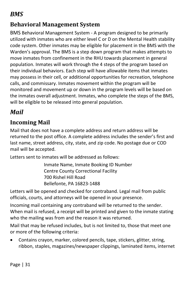# <span id="page-31-0"></span>*BMS*

## **Behavioral Management System**

BMS Behavioral Management System - A program designed to be primarily utilized with inmates who are either level C or D on the Mental Health stability code system. Other inmates may be eligible for placement in the BMS with the Warden's approval. The BMS is a step down program that makes attempts to move inmates from confinement in the RHU towards placement in general population. Inmates will work through the 4 steps of the program based on their individual behaviors. Each step will have allowable items that inmates may possess in their cell, or additional opportunities for recreation, telephone calls, and commissary. Inmates movement within the program will be monitored and movement up or down in the program levels will be based on the inmates overall adjustment. Inmates, who complete the steps of the BMS, will be eligible to be released into general population.

# <span id="page-31-1"></span>*Mail*

## **Incoming Mail**

Mail that does not have a complete address and return address will be returned to the post office. A complete address includes the sender's first and last name, street address, city, state, and zip code. No postage due or COD mail will be accepted.

Letters sent to inmates will be addressed as follows:

Inmate Name, Inmate Booking ID Number Centre County Correctional Facility 700 Rishel Hill Road Bellefonte, PA 16823-1488

Letters will be opened and checked for contraband. Legal mail from public officials, courts, and attorneys will be opened in your presence.

Incoming mail containing any contraband will be returned to the sender. When mail is refused, a receipt will be printed and given to the inmate stating who the mailing was from and the reason it was returned.

Mail that may be refused includes, but is not limited to, those that meet one or more of the following criteria:

• Contains crayon, marker, colored pencils, tape, stickers, glitter, string, ribbon, staples, magazines/newspaper clippings, laminated items, internet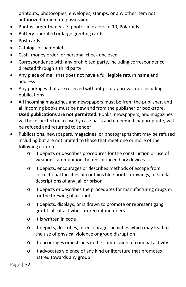printouts, photocopies, envelopes, stamps, or any other item not authorized for inmate possession

- Photos larger than 5 x 7, photos in excess of 10, Polaroids
- Battery-operated or large greeting cards
- Post cards
- Catalogs or pamphlets
- Cash, money order, or personal check enclosed
- Correspondence with any prohibited party, including correspondence directed through a third party
- Any piece of mail that does not have a full legible return name and address
- Any packages that are received without prior approval, not including publications
- All incoming magazines and newspapers must be from the publisher, and all incoming books must be new and from the publisher or bookstore. **Used publications are not permitted.** Books, newspapers, and magazines will be inspected on a case by case basis and if deemed inappropriate, will be refused and returned to sender
- Publications, newspapers, magazines, or photographs that may be refused including but are not limited to those that meet one or more of the following criteria:
	- o It depicts or describes procedures for the construction or use of weapons, ammunition, bombs or incendiary devices
	- o It depicts, encourages or describes methods of escape from correctional facilities or contains blue prints, drawings, or similar descriptions of any jail or prison
	- o It depicts or describes the procedures for manufacturing drugs or for the brewing of alcohol
	- o It depicts, displays, or is drawn to promote or represent gang graffiti, illicit activities, or recruit members
	- o It is written in code
	- o It depicts, describes, or encourages activities which may lead to the use of physical violence or group disruption
	- o It encourages or instructs in the commission of criminal activity
	- o It advocates violence of any kind or literature that promotes hatred towards any group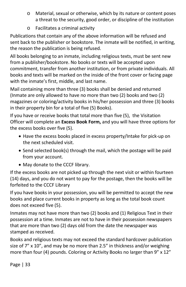- o Material, sexual or otherwise, which by its nature or content poses a threat to the security, good order, or discipline of the institution
- o Facilitates a criminal activity

Publications that contain any of the above information will be refused and sent back to the publisher or bookstore. The inmate will be notified, in writing, the reason the publication is being refused.

All books belonging to an inmate, including religious texts, must be sent new from a publisher/bookstore. No books or texts will be accepted upon commitment, transfer from another institution, or from private individuals. All books and texts will be marked on the inside of the front cover or facing page with the inmate's first, middle, and last name.

Mail containing more than three (3) books shall be denied and returned (Inmate are only allowed to have no more than two (2) books and two (2) magazines or coloring/activity books in his/her possession and three (3) books in their property bin for a total of five (5) Books).

If you have or receive books that total more than five (5), the Visitation Officer will complete an **Excess Book Form,** and you will have three options for the excess books over five (5).

- Have the excess books placed in excess property/Intake for pick-up on the next scheduled visit.
- Send selected book(s) through the mail, which the postage will be paid from your account.
- May donate to the CCCF library.

If the excess books are not picked up through the next visit or within fourteen (14) days, and you do not want to pay for the postage, then the books will be forfeited to the CCCF Library

If you have books in your possession, you will be permitted to accept the new books and place current books in property as long as the total book count does not exceed five (5).

Inmates may not have more than two (2) books and (1) Religious Text in their possession at a time. Inmates are not to have in their possession newspapers that are more than two (2) days old from the date the newspaper was stamped as received.

Books and religious texts may not exceed the standard hardcover publication size of 7" x 10", and may be no more than 2.5" in thickness and/or weighing more than four (4) pounds. Coloring or Activity Books no larger than 9" x 12"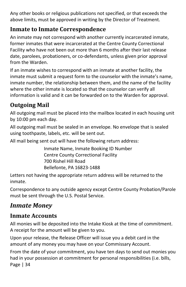Any other books or religious publications not specified, or that exceeds the above limits, must be approved in writing by the Director of Treatment.

# **Inmate to Inmate Correspondence**

An inmate may not correspond with another currently incarcerated inmate, former inmates that were incarcerated at the Centre County Correctional Facility who have not been out more than 6 months after their last release date, parolees, probationers, or co-defendants, unless given prior approval from the Warden.

If an inmate wishes to correspond with an inmate at another facility, the inmate must submit a request form to the counselor with the inmate's name, inmate number, the relationship between them, and the name of the facility where the other inmate is located so that the counselor can verify all information is valid and it can be forwarded on to the Warden for approval.

# **Outgoing Mail**

All outgoing mail must be placed into the mailbox located in each housing unit by 10:00 pm each day.

All outgoing mail must be sealed in an envelope. No envelope that is sealed using toothpaste, labels, etc. will be sent out.

All mail being sent out will have the following return address:

Inmate Name, Inmate Booking ID Number Centre County Correctional Facility 700 Rishel Hill Road Bellefonte, PA 16823-1488

Letters not having the appropriate return address will be returned to the inmate.

Correspondence to any outside agency except Centre County Probation/Parole must be sent through the U.S. Postal Service.

# <span id="page-34-0"></span>*Inmate Money*

# **Inmate Accounts**

All monies will be deposited into the Intake Kiosk at the time of commitment. A receipt for the amount will be given to you.

Upon your release, the Release Officer will issue you a debit card in the amount of any money you may have on your Commissary Account.

Page | 34 From the date of your commitment, you have ten days to send out monies you had in your possession at commitment for personal responsibilities (i.e. bills,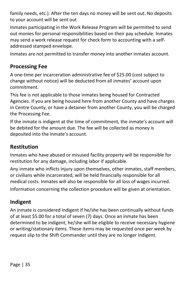family needs, etc.). After the ten days no money will be sent out. No deposits to your account will be sent out

Inmates participating in the Work Release Program will be permitted to send out monies for personal responsibilities based on their pay schedule. Inmates may send a work release request for check form to accounting with a selfaddressed stamped envelope.

Inmates are not permitted to transfer money into another inmates account.

## **Processing Fee**

A one-time per incarceration administrative fee of \$25.00 (cost subject to change without notice) will be deducted from all inmates' account upon commitment.

This fee is not applicable to those inmates being housed for Contracted Agencies. If you are being housed here from another County and have charges in Centre County, or have a detainer from another County, you will be charged the Processing Fee.

If the inmate is indigent at the time of commitment, the inmate's account will be debited for the amount due. The fee will be collected as money is deposited into the inmate's account.

## **Restitution**

Inmates who have abused or misused facility property will be responsible for restitution for any damage, including labor if applicable.

Any inmate who inflicts injury upon themselves, other inmates, staff members, or civilians while incarcerated, will be held financially responsible for all medical costs. Inmates will also be responsible for all loss of wages incurred.

Information concerning the collection procedure will be given at orientation.

## **Indigent**

An inmate is considered indigent if he/she has been continually without funds of at least \$5.00 for a total of seven (7) days. Once an inmate has been determined to be indigent, he/she will be eligible to receive necessary hygiene or writing/stationary items. These items may be requested once per week by request slip to the Shift Commander until they are no longer indigent.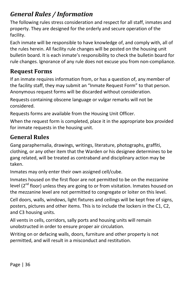# <span id="page-36-0"></span>*General Rules / Information*

The following rules stress consideration and respect for all staff, inmates and property. They are designed for the orderly and secure operation of the facility.

Each inmate will be responsible to have knowledge of, and comply with, all of the rules herein. All facility rule changes will be posted on the housing unit bulletin board. It is each inmate's responsibility to check the bulletin board for rule changes. Ignorance of any rule does not excuse you from non-compliance.

# **Request Forms**

If an inmate requires information from, or has a question of, any member of the facility staff, they may submit an "Inmate Request Form" to that person. Anonymous request forms will be discarded without consideration.

Requests containing obscene language or vulgar remarks will not be considered.

Requests forms are available from the Housing Unit Officer.

When the request form is completed, place it in the appropriate box provided for inmate requests in the housing unit.

# **General Rules**

Gang paraphernalia, drawings, writings, literature, photographs, graffiti, clothing, or any other item that the Warden or his designee determines to be gang related, will be treated as contraband and disciplinary action may be taken.

Inmates may only enter their own assigned cell/cube.

Inmates housed on the first floor are not permitted to be on the mezzanine level  $(2^{nd}$  floor) unless they are going to or from visitation. Inmates housed on the mezzanine level are not permitted to congregate or loiter on this level.

Cell doors, walls, windows, light fixtures and ceilings will be kept free of signs, posters, pictures and other items. This is to include the lockers in the C1, C2, and C3 housing units.

All vents in cells, corridors, sally ports and housing units will remain unobstructed in order to ensure proper air circulation.

Writing on or defacing walls, doors, furniture and other property is not permitted, and will result in a misconduct and restitution.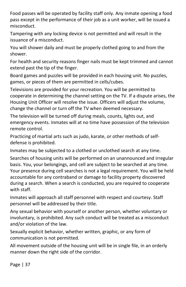Food passes will be operated by facility staff only. Any inmate opening a food pass except in the performance of their job as a unit worker, will be issued a misconduct.

Tampering with any locking device is not permitted and will result in the issuance of a misconduct.

You will shower daily and must be properly clothed going to and from the shower.

For health and security reasons finger nails must be kept trimmed and cannot extend past the tip of the finger.

Board games and puzzles will be provided in each housing unit. No puzzles, games, or pieces of them are permitted in cells/cubes.

Televisions are provided for your recreation. You will be permitted to cooperate in determining the channel setting on the TV. If a dispute arises, the Housing Unit Officer will resolve the issue. Officers will adjust the volume, change the channel or turn off the TV when deemed necessary.

The television will be turned off during meals, counts, lights out, and emergency events. Inmates will at no time have possession of the television remote control.

Practicing of martial arts such as judo, karate, or other methods of selfdefense is prohibited.

Inmates may be subjected to a clothed or unclothed search at any time.

Searches of housing units will be performed on an unannounced and irregular basis. You, your belongings, and cell are subject to be searched at any time. Your presence during cell searches is not a legal requirement. You will be held accountable for any contraband or damage to facility property discovered during a search. When a search is conducted, you are required to cooperate with staff.

Inmates will approach all staff personnel with respect and courtesy. Staff personnel will be addressed by their title.

Any sexual behavior with yourself or another person, whether voluntary or involuntary, is prohibited. Any such conduct will be treated as a misconduct and/or violation of the law.

Sexually explicit behavior, whether written, graphic, or any form of communication is not permitted.

All movement outside of the housing unit will be in single file, in an orderly manner down the right side of the corridor.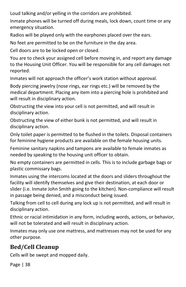Loud talking and/or yelling in the corridors are prohibited.

Inmate phones will be turned off during meals, lock down, count time or any emergency situation.

Radios will be played only with the earphones placed over the ears.

No feet are permitted to be on the furniture in the day area.

Cell doors are to be locked open or closed.

You are to check your assigned cell before moving in, and report any damage to the Housing Unit Officer. You will be responsible for any cell damages not reported.

Inmates will not approach the officer's work station without approval.

Body piercing jewelry (nose rings, ear rings etc.) will be removed by the medical department. Placing any item into a piercing hole is prohibited and will result in disciplinary action.

Obstructing the view into your cell is not permitted, and will result in disciplinary action.

Obstructing the view of either bunk is not permitted, and will result in disciplinary action.

Only toilet paper is permitted to be flushed in the toilets. Disposal containers for feminine hygiene products are available on the female housing units.

Feminine sanitary napkins and tampons are available to female inmates as needed by speaking to the housing unit officer to obtain.

No empty containers are permitted in cells. This is to include garbage bags or plastic commissary bags.

Inmates using the intercoms located at the doors and sliders throughout the facility will identify themselves and give their destination, at each door or slider (i.e. Inmate John Smith going to the kitchen). Non-compliance will result in passage being denied, and a misconduct being issued.

Talking from cell to cell during any lock up is not permitted, and will result in disciplinary action.

Ethnic or racial intimidation in any form, including words, actions, or behavior, will not be tolerated and will result in disciplinary action.

Inmates may only use one mattress, and mattresses may not be used for any other purpose.

# **Bed/Cell Cleanup**

Cells will be swept and mopped daily.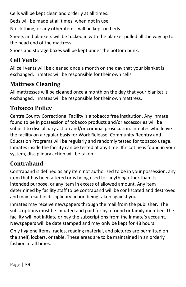Cells will be kept clean and orderly at all times.

Beds will be made at all times, when not in use.

No clothing, or any other items, will be kept on beds.

Sheets and blankets will be tucked in with the blanket pulled all the way up to the head end of the mattress.

Shoes and storage boxes will be kept under the bottom bunk.

## **Cell Vents**

All cell vents will be cleaned once a month on the day that your blanket is exchanged. Inmates will be responsible for their own cells.

## **Mattress Cleaning**

All mattresses will be cleaned once a month on the day that your blanket is exchanged. Inmates will be responsible for their own mattress.

## **Tobacco Policy**

Centre County Correctional Facility is a tobacco free institution. Any inmate found to be in possession of tobacco products and/or accessories will be subject to disciplinary action and/or criminal prosecution. Inmates who leave the facility on a regular basis for Work Release, Community Reentry and Education Programs will be regularly and randomly tested for tobacco usage. Inmates inside the facility can be tested at any time. If nicotine is found in your system, disciplinary action will be taken.

## **Contraband**

Contraband is defined as any item not authorized to be in your possession, any item that has been altered or is being used for anything other than its intended purpose, or any item in excess of allowed amount. Any item determined by facility staff to be contraband will be confiscated and destroyed and may result in disciplinary action being taken against you.

Inmates may receive newspapers through the mail from the publisher. The subscriptions must be initiated and paid for by a friend or family member. The facility will not initiate or pay the subscriptions from the inmate's account. Newspapers will be date stamped and may only be kept for 48 hours.

Only hygiene items, radios, reading material, and pictures are permitted on the shelf, lockers, or table. These areas are to be maintained in an orderly fashion at all times.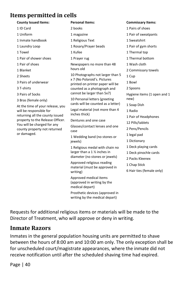## **Items permitted in cells**

| <b>County Issued Items:</b>                                                                                            | <b>Personal Items:</b>                                                                             |  |
|------------------------------------------------------------------------------------------------------------------------|----------------------------------------------------------------------------------------------------|--|
| 1 ID Card                                                                                                              | 2 books                                                                                            |  |
| 1 Uniform                                                                                                              | 1 magazine                                                                                         |  |
| 1 Inmate handbook                                                                                                      | 1 Religious Text                                                                                   |  |
| 1 Laundry Loop                                                                                                         | 1 Rosary/Prayer beads                                                                              |  |
| 1 Towel                                                                                                                | 1 Kufee                                                                                            |  |
| 1 Pair of shower shoes                                                                                                 | 1 Prayer rug                                                                                       |  |
| 1 Pair of shoes                                                                                                        | Newspapers no more than 48<br>hours old                                                            |  |
| 1 Blanket                                                                                                              |                                                                                                    |  |
| 2 Sheets                                                                                                               | 10 Photographs not larger than 5                                                                   |  |
| 3 Pairs of underwear                                                                                                   | x 7 (No Polaroid's. Pictures<br>printed on printer paper will be                                   |  |
| 3 T-shirts                                                                                                             | counted as a photograph and<br>cannot be larger than 5x7)                                          |  |
| 3 Pairs of Socks                                                                                                       |                                                                                                    |  |
| 3 Bras (female only)<br>At the time of your release, you<br>will be responsible for<br>returning all the county issued | 10 Personal letters (greeting<br>cards will be counted as a letter)                                |  |
|                                                                                                                        | Legal material (not more than 4<br>inches thick)                                                   |  |
| property to the Release Officer.                                                                                       | Dentures and one case                                                                              |  |
| You will be charged for any<br>county property not returned<br>or damaged.                                             | Glasses/contact lenses and one<br>case                                                             |  |
|                                                                                                                        | 1 Wedding band (no stones or<br>jewels)                                                            |  |
|                                                                                                                        | 1 Religious medal with chain no<br>larger than a 1 1/2 inches in<br>diameter (no stones or jewels) |  |
|                                                                                                                        | Approved religious reading<br>material (must be approved in<br>writing)                            |  |
|                                                                                                                        | Approved medical items<br>(approved in writing by the                                              |  |

medical depart) Prosthetic devices (approved in writing by the medical depart)

ger than 5 er will be s a letter) **Commissary Items:** 1 Pairs of shoes 1 Pair of sweatpants 1 Sweatshirt 1 Pair of gym shorts 1 Thermal top 1 Thermal bottom 1 Wash cloth 2 Commissary towels 1 Cup 1 Bowl 2 Spoons Hygiene items (1 open and 1 new) 1 Soap Dish 1 Radio 1 Pair of Headphones 12 Pills/tablets 2 Pens/Pencils 1 legal pad 1 Dictionary 1 Deck playing cards 1 Deck pinochle cards 2 Packs Kleenex

- 1 Chap Stick
- 6 Hair ties (female only)

Requests for additional religious items or materials will be made to the Director of Treatment, who will approve or deny in writing.

#### **Inmate Razors**

Inmates in the general population housing units are permitted to shave between the hours of 8:00 am and 10:00 am only. The only exception shall be for unscheduled court/magistrate appearances, where the inmate did not receive notification until after the scheduled shaving time had expired.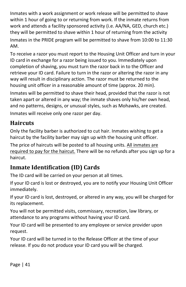Inmates with a work assignment or work release will be permitted to shave within 1 hour of going to or returning from work. If the inmate returns from work and attends a facility sponsored activity (i.e. AA/NA, GED, church etc.) they will be permitted to shave within 1 hour of returning from the activity Inmates in the PRIDE program will be permitted to shave from 10:00 to 11:30 AM.

To receive a razor you must report to the Housing Unit Officer and turn in your ID card in exchange for a razor being issued to you. Immediately upon completion of shaving, you must turn the razor back in to the Officer and retrieve your ID card. Failure to turn in the razor or altering the razor in any way will result in disciplinary action. The razor must be returned to the housing unit officer in a reasonable amount of time (approx. 20 min).

Inmates will be permitted to shave their head, provided that the razor is not taken apart or altered in any way; the inmate shaves only his/her own head, and no patterns, designs, or unusual styles, such as Mohawks, are created. Inmates will receive only one razor per day.

## **Haircuts**

Only the facility barber is authorized to cut hair. Inmates wishing to get a haircut by the facility barber may sign up with the housing unit officer.

The price of haircuts will be posted to all housing units. All inmates are required to pay for the haircut. There will be no refunds after you sign up for a haircut.

# **Inmate Identification (ID) Cards**

The ID card will be carried on your person at all times.

If your ID card is lost or destroyed, you are to notify your Housing Unit Officer immediately.

If your ID card is lost, destroyed, or altered in any way, you will be charged for its replacement.

You will not be permitted visits, commissary, recreation, law library, or attendance to any programs without having your ID card.

Your ID card will be presented to any employee or service provider upon request.

Your ID card will be turned in to the Release Officer at the time of your release. If you do not produce your ID card you will be charged.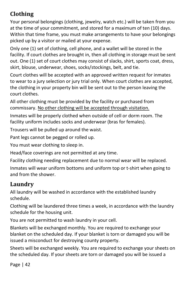# **Clothing**

Your personal belongings (clothing, jewelry, watch etc.) will be taken from you at the time of your commitment, and stored for a maximum of ten (10) days. Within that time frame, you must make arrangements to have your belongings picked up by a visitor or mailed at your expense.

Only one (1) set of clothing, cell phone, and a wallet will be stored in the facility. If court clothes are brought in, then all clothing in storage must be sent out. One (1) set of court clothes may consist of slacks, shirt, sports coat, dress, skirt, blouse, underwear, shoes, socks/stockings, belt, and tie.

Court clothes will be accepted with an approved written request for inmates to wear to a jury selection or jury trial only. When court clothes are accepted, the clothing in your property bin will be sent out to the person leaving the court clothes.

All other clothing must be provided by the facility or purchased from commissary. No other clothing will be accepted through visitation.

Inmates will be properly clothed when outside of cell or dorm room. The facility uniform includes socks and underwear (bras for females).

Trousers will be pulled up around the waist.

Pant legs cannot be pegged or rolled up.

You must wear clothing to sleep in.

Head/face coverings are not permitted at any time.

Facility clothing needing replacement due to normal wear will be replaced.

Inmates will wear uniform bottoms and uniform top or t-shirt when going to and from the shower.

# **Laundry**

All laundry will be washed in accordance with the established laundry schedule.

Clothing will be laundered three times a week, in accordance with the laundry schedule for the housing unit.

You are not permitted to wash laundry in your cell.

Blankets will be exchanged monthly. You are required to exchange your blanket on the scheduled day. If your blanket is torn or damaged you will be issued a misconduct for destroying county property.

Sheets will be exchanged weekly. You are required to exchange your sheets on the scheduled day. If your sheets are torn or damaged you will be issued a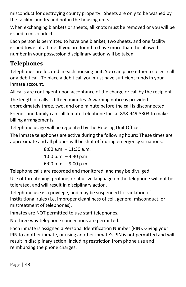misconduct for destroying county property. Sheets are only to be washed by the facility laundry and not in the housing units.

When exchanging blankets or sheets, all knots must be removed or you will be issued a misconduct.

Each person is permitted to have one blanket, two sheets, and one facility issued towel at a time. If you are found to have more than the allowed number in your possession disciplinary action will be taken.

# **Telephones**

Telephones are located in each housing unit. You can place either a collect call or a debit call. To place a debit call you must have sufficient funds in your Inmate account.

All calls are contingent upon acceptance of the charge or call by the recipient.

The length of calls is fifteen minutes. A warning notice is provided approximately three, two, and one minute before the call is disconnected.

Friends and family can call Inmate Telephone Inc. at 888-949-3303 to make billing arrangements.

Telephone usage will be regulated by the Housing Unit Officer.

The inmate telephones are active during the following hours: These times are approximate and all phones will be shut off during emergency situations.

> 8:00 a.m. – 11:30 a.m. 1:00 p.m.  $-$  4:30 p.m. 6:00 p.m. – 9:00 p.m.

Telephone calls are recorded and monitored, and may be divulged.

Use of threatening, profane, or abusive language on the telephone will not be tolerated, and will result in disciplinary action.

Telephone use is a privilege, and may be suspended for violation of institutional rules (i.e. improper cleanliness of cell, general misconduct, or mistreatment of telephones).

Inmates are NOT permitted to use staff telephones.

No three way telephone connections are permitted.

Each inmate is assigned a Personal Identification Number (PIN). Giving your PIN to another inmate, or using another inmate's PIN is not permitted and will result in disciplinary action, including restriction from phone use and reimbursing the phone charges.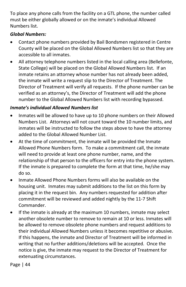To place any phone calls from the facility on a GTL phone, the number called must be either globally allowed or on the inmate's individual Allowed Numbers list.

#### *Global Numbers:*

- Contact phone numbers provided by Bail Bondsmen registered in Centre County will be placed on the Global Allowed Numbers list so that they are accessible to all inmates.
- All attorney telephone numbers listed in the local calling area (Bellefonte, State College) will be placed on the Global Allowed Numbers list. If an inmate retains an attorney whose number has not already been added, the inmate will write a request slip to the Director of Treatment. The Director of Treatment will verify all requests. If the phone number can be verified as an attorney's, the Director of Treatment will add the phone number to the Global Allowed Numbers list with recording bypassed.

#### *Inmate's individual Allowed Numbers list*

- Inmates will be allowed to have up to 10 phone numbers on their Allowed Numbers List. Attorneys will not count toward the 10 number limits, and inmates will be instructed to follow the steps above to have the attorney added to the Global Allowed Number List.
- At the time of commitment, the inmate will be provided the Inmate Allowed Phone Numbers form. To make a commitment call, the inmate will need to provide at least one phone number, name, and the relationship of that person to the officers for entry into the phone system. If the inmate is prepared to complete the form at that time, he/she may do so.
- Inmate Allowed Phone Numbers forms will also be available on the housing unit. Inmates may submit additions to the list on this form by placing it in the request bin. Any numbers requested for addition after commitment will be reviewed and added nightly by the 11-7 Shift Commander.
- If the inmate is already at the maximum 10 numbers, inmate may select another obsolete number to remove to remain at 10 or less. Inmates will be allowed to remove obsolete phone numbers and request additions to their individual Allowed Numbers unless it becomes repetitive or abusive. If this happens, the inmate and Director of Treatment will be informed in writing that no further additions/deletions will be accepted. Once the notice is give, the inmate may request to the Director of Treatment for extenuating circumstances.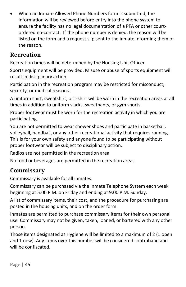• When an Inmate Allowed Phone Numbers form is submitted, the information will be reviewed before entry into the phone system to ensure the facility has no legal documentation of a PFA or other courtordered no-contact. If the phone number is denied, the reason will be listed on the form and a request slip sent to the inmate informing them of the reason.

## **Recreation**

Recreation times will be determined by the Housing Unit Officer.

Sports equipment will be provided. Misuse or abuse of sports equipment will result in disciplinary action.

Participation in the recreation program may be restricted for misconduct, security, or medical reasons.

A uniform shirt, sweatshirt, or t-shirt will be worn in the recreation areas at all times in addition to uniform slacks, sweatpants, or gym shorts.

Proper footwear must be worn for the recreation activity in which you are participating.

You are not permitted to wear shower shoes and participate in basketball, volleyball, handball, or any other recreational activity that requires running. This is for your own safety and anyone found to be participating without proper footwear will be subject to disciplinary action.

Radios are not permitted in the recreation area.

No food or beverages are permitted in the recreation areas.

# **Commissary**

Commissary is available for all inmates.

Commissary can be purchased via the Inmate Telephone System each week beginning at 5:00 P.M. on Friday and ending at 9:00 P.M. Sunday.

A list of commissary items, their cost, and the procedure for purchasing are posted in the housing units, and on the order form.

Inmates are permitted to purchase commissary items for their own personal use. Commissary may not be given, taken, loaned, or bartered with any other person.

Those items designated as Hygiene will be limited to a maximum of 2 (1 open and 1 new). Any items over this number will be considered contraband and will be confiscated.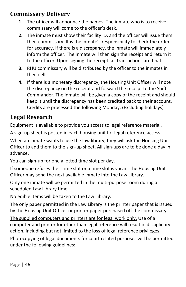## **Commissary Delivery**

- **1.** The officer will announce the names. The inmate who is to receive commissary will come to the officer's desk.
- **2.** The inmate must show their facility ID, and the officer will issue them their commissary. It is the inmate's responsibility to check the order for accuracy. If there is a discrepancy, the inmate will immediately inform the officer. The inmate will then sign the receipt and return it to the officer. Upon signing the receipt, all transactions are final.
- **3.** RHU commissary will be distributed by the officer to the inmates in their cells.
- **4.** If there is a monetary discrepancy, the Housing Unit Officer will note the discrepancy on the receipt and forward the receipt to the Shift Commander. The inmate will be given a copy of the receipt and should keep it until the discrepancy has been credited back to their account. Credits are processed the following Monday. (Excluding holidays)

## **Legal Research**

Equipment is available to provide you access to legal reference material.

A sign-up sheet is posted in each housing unit for legal reference access.

When an inmate wants to use the law library, they will ask the Housing Unit Officer to add them to the sign-up sheet. All sign-ups are to be done a day in advance.

You can sign-up for one allotted time slot per day.

If someone refuses their time slot or a time slot is vacant the Housing Unit Officer may send the next available inmate into the Law Library.

Only one inmate will be permitted in the multi-purpose room during a scheduled Law Library time.

No edible items will be taken to the Law Library.

The only paper permitted in the Law Library is the printer paper that is issued by the Housing Unit Officer or printer paper purchased off the commissary.

The supplied computers and printers are for legal work only. Use of a computer and printer for other than legal reference will result in disciplinary action, including but not limited to the loss of legal reference privileges.

Photocopying of legal documents for court related purposes will be permitted under the following guidelines: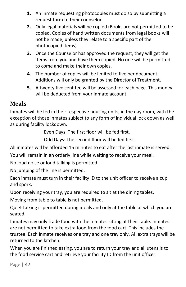- **1.** An inmate requesting photocopies must do so by submitting a request form to their counselor.
- **2.** Only legal materials will be copied (Books are not permitted to be copied. Copies of hand written documents from legal books will not be made, unless they relate to a specific part of the photocopied items).
- **3.** Once the Counselor has approved the request, they will get the items from you and have them copied. No one will be permitted to come and make their own copies.
- **4.** The number of copies will be limited to five per document. Additions will only be granted by the Director of Treatment.
- **5.** A twenty five cent fee will be assessed for each page. This money will be deducted from your inmate account.

## **Meals**

Inmates will be fed in their respective housing units, in the day room, with the exception of those inmates subject to any form of individual lock down as well as during facility lockdown.

Even Days: The first floor will be fed first.

Odd Days: The second floor will be fed first.

All inmates will be afforded 15 minutes to eat after the last inmate is served.

You will remain in an orderly line while waiting to receive your meal.

No loud noise or loud talking is permitted.

No jumping of the line is permitted.

Each inmate must turn in their facility ID to the unit officer to receive a cup and spork.

Upon receiving your tray, you are required to sit at the dining tables.

Moving from table to table is not permitted.

Quiet talking is permitted during meals and only at the table at which you are seated.

Inmates may only trade food with the inmates sitting at their table. Inmates are not permitted to take extra food from the food cart. This includes the trustee. Each inmate receives one tray and one tray only. All extra trays will be returned to the kitchen.

When you are finished eating, you are to return your tray and all utensils to the food service cart and retrieve your facility ID from the unit officer.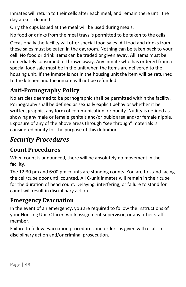Inmates will return to their cells after each meal, and remain there until the day area is cleaned.

Only the cups issued at the meal will be used during meals.

No food or drinks from the meal trays is permitted to be taken to the cells.

Occasionally the facility will offer special food sales. All food and drinks from these sales must be eaten in the dayroom. Nothing can be taken back to your cell. No food or drink items can be traded or given away. All items must be immediately consumed or thrown away. Any inmate who has ordered from a special food sale must be in the unit when the items are delivered to the housing unit. If the inmate is not in the housing unit the item will be returned to the kitchen and the inmate will not be refunded.

# **Anti-Pornography Policy**

No articles deemed to be pornographic shall be permitted within the facility. Pornography shall be defined as sexually explicit behavior whether it be written, graphic, any form of communication, or nudity. Nudity is defined as showing any male or female genitals and/or pubic area and/or female nipple. Exposure of any of the above areas through "see through" materials is considered nudity for the purpose of this definition.

# <span id="page-48-0"></span>*Security Procedures*

# **Count Procedures**

When count is announced, there will be absolutely no movement in the facility.

The 12:30 pm and 6:00 pm counts are standing counts. You are to stand facing the cell/cube door until counted. All C-unit inmates will remain in their cube for the duration of head count. Delaying, interfering, or failure to stand for count will result in disciplinary action.

## **Emergency Evacuation**

In the event of an emergency, you are required to follow the instructions of your Housing Unit Officer, work assignment supervisor, or any other staff member.

Failure to follow evacuation procedures and orders as given will result in disciplinary action and/or criminal prosecution.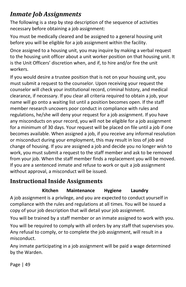# <span id="page-49-0"></span>*Inmate Job Assignments*

The following is a step by step description of the sequence of activities necessary before obtaining a job assignment:

You must be medically cleared and be assigned to a general housing unit before you will be eligible for a job assignment within the facility.

Once assigned to a housing unit, you may inquire by making a verbal request to the housing unit officer about a unit worker position on that housing unit. It is the Unit Officers' discretion when, and if, to hire and/or fire the unit workers.

If you would desire a trustee position that is not on your housing unit, you must submit a request to the counselor. Upon receiving your request the counselor will check your institutional record, criminal history, and medical clearance, if necessary. If you clear all criteria required to obtain a job, your name will go onto a waiting list until a position becomes open. If the staff member research uncovers poor conduct in compliance with rules and regulations, he/she will deny your request for a job assignment. If you have any misconducts on your record, you will not be eligible for a job assignment for a minimum of 30 days. Your request will be placed on file until a job if one becomes available. When assigned a job, if you receive any informal resolution or misconduct during your employment, this may result in loss of job and change of housing. If you are assigned a job and decide you no longer wish to work, you must submit a request to the staff member and ask to be removed from your job. When the staff member finds a replacement you will be moved. If you are a sentenced inmate and refuse to work or quit a job assignment without approval, a misconduct will be issued.

## **Instructional Inside Assignments**

#### **Kitchen Maintenance Hygiene Laundry**

A job assignment is a privilege, and you are expected to conduct yourself in compliance with the rules and regulations at all times. You will be issued a copy of your job description that will detail your job assignment.

You will be trained by a staff member or an inmate assigned to work with you.

You will be required to comply with all orders by any staff that supervises you. Any refusal to comply, or to complete the job assignment, will result in a misconduct.

Any inmate participating in a job assignment will be paid a wage determined by the Warden.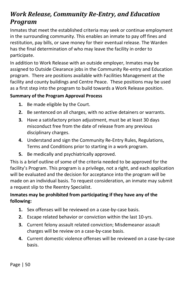# <span id="page-50-0"></span>*Work Release, Community Re-Entry, and Education Program*

Inmates that meet the established criteria may seek or continue employment in the surrounding community. This enables an inmate to pay off fines and restitution, pay bills, or save money for their eventual release. The Warden has the final determination of who may leave the facility in order to participate.

In addition to Work Release with an outside employer, Inmates may be assigned to Outside Clearance jobs in the Community Re-entry and Education program. There are positions available with Facilities Management at the facility and county buildings and Centre Peace. These positions may be used as a first step into the program to build towards a Work Release position.

#### **Summary of the Program Approval Process**

- **1.** Be made eligible by the Court.
- **2.** Be sentenced on all charges, with no active detainers or warrants.
- **3.** Have a satisfactory prison adjustment, must be at least 30 days misconduct free from the date of release from any previous disciplinary charges.
- **4.** Understand and sign the Community Re-Entry Rules, Regulations, Terms and Conditions prior to starting in a work program.
- **5.** Be medically and psychiatrically approved.

This is a brief outline of some of the criteria needed to be approved for the facility's Program. This program is a privilege, not a right, and each application will be evaluated and the decision for acceptance into the program will be made on an individual basis. To request consideration, an inmate may submit a request slip to the Reentry Specialist.

#### **Inmates may be prohibited from participating if they have any of the following:**

- **1.** Sex offenses will be reviewed on a case-by-case basis.
- **2.** Escape related behavior or conviction within the last 10-yrs.
- **3.** Current felony assault related conviction; Misdemeanor assault charges will be review on a case-by-case basis.
- **4.** Current domestic violence offenses will be reviewed on a case-by-case basis.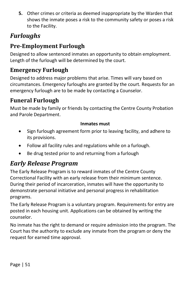**5.** Other crimes or criteria as deemed inappropriate by the Warden that shows the inmate poses a risk to the community safety or poses a risk to the Facility.

# <span id="page-51-0"></span>*Furloughs*

# **Pre-Employment Furlough**

Designed to allow sentenced inmates an opportunity to obtain employment. Length of the furlough will be determined by the court.

# **Emergency Furlough**

Designed to address major problems that arise. Times will vary based on circumstances. Emergency furloughs are granted by the court. Requests for an emergency furlough are to be made by contacting a Counselor.

# **Funeral Furlough**

Must be made by family or friends by contacting the Centre County Probation and Parole Department.

#### **Inmates must**

- Sign furlough agreement form prior to leaving facility, and adhere to its provisions.
- Follow all facility rules and regulations while on a furlough.
- Be drug tested prior to and returning from a furlough

# <span id="page-51-1"></span>*Early Release Program*

The Early Release Program is to reward inmates of the Centre County Correctional Facility with an early release from their minimum sentence. During their period of incarceration, inmates will have the opportunity to demonstrate personal initiative and personal progress in rehabilitation programs.

The Early Release Program is a voluntary program. Requirements for entry are posted in each housing unit. Applications can be obtained by writing the counselor.

No inmate has the right to demand or require admission into the program. The Court has the authority to exclude any inmate from the program or deny the request for earned time approval.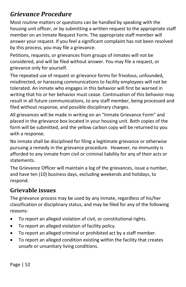# <span id="page-52-0"></span>*Grievance Procedure*

Most routine matters or questions can be handled by speaking with the housing unit officer, or by submitting a written request to the appropriate staff member on an Inmate Request Form. The appropriate staff member will answer your request. If you feel a significant complaint has not been resolved by this process, you may file a grievance.

Petitions, requests, or grievances from groups of inmates will not be considered, and will be filed without answer. You may file a request, or grievance only for yourself.

The repeated use of request or grievance forms for frivolous, unfounded, misdirected, or harassing communications to facility employees will not be tolerated. An inmate who engages in this behavior will first be warned in writing that his or her behavior must cease. Continuation of this behavior may result in all future communications, to any staff member, being processed and filed without response, and possible disciplinary charges.

All grievances will be made in writing on an "Inmate Grievance Form" and placed in the grievance box located in your housing unit. Both copies of the form will be submitted, and the yellow carbon copy will be returned to you with a response.

No inmate shall be disciplined for filing a legitimate grievance or otherwise pursuing a remedy in the grievance procedure. However, no immunity is afforded to any inmate from civil or criminal liability for any of their acts or statements.

The Grievance Officer will maintain a log of the grievances, issue a number, and have ten (10) business days, excluding weekends and holidays, to respond.

## **Grievable issues**

The grievance process may be used by any inmate, regardless of his/her classification or disciplinary status, and may be filed for any of the following reasons:

- To report an alleged violation of civil, or constitutional rights.
- To report an alleged violation of facility policy.
- To report an alleged criminal or prohibited act by a staff member.
- To report an alleged condition existing within the facility that creates unsafe or unsanitary living conditions.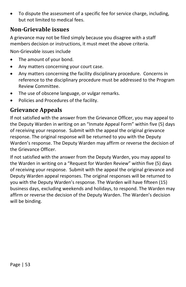• To dispute the assessment of a specific fee for service charge, including, but not limited to medical fees.

## **Non-Grievable issues**

A grievance may not be filed simply because you disagree with a staff members decision or instructions, it must meet the above criteria.

Non-Grievable issues include

- The amount of your bond.
- Any matters concerning your court case.
- Any matters concerning the facility disciplinary procedure. Concerns in reference to the disciplinary procedure must be addressed to the Program Review Committee.
- The use of obscene language, or vulgar remarks.
- Policies and Procedures of the facility.

# **Grievance Appeals**

If not satisfied with the answer from the Grievance Officer, you may appeal to the Deputy Warden in writing on an "Inmate Appeal Form" within five (5) days of receiving your response. Submit with the appeal the original grievance response. The original response will be returned to you with the Deputy Warden's response. The Deputy Warden may affirm or reverse the decision of the Grievance Officer.

If not satisfied with the answer from the Deputy Warden, you may appeal to the Warden in writing on a "Request for Warden Review" within five (5) days of receiving your response. Submit with the appeal the original grievance and Deputy Warden appeal responses. The original responses will be returned to you with the Deputy Warden's response. The Warden will have fifteen (15) business days, excluding weekends and holidays, to respond. The Warden may affirm or reverse the decision of the Deputy Warden. The Warden's decision will be binding.